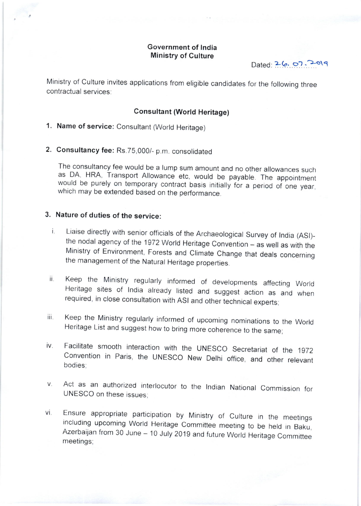#### Government of lndia Ministry of Culture

 $Dated: 26.07.2019$ 

Ministry of culture invites applications from eligible candidates for the following three contractual services:

#### Consultant (World Heritage)

1. Name of service: Consultant (World Heritage)

2. Consultancy fee: Rs.75,000/- p.m. consolidated

The consultancy fee would be a lump sum amount and no other allowances such as DA, HRA, Transport Allowance etc, would be payable. The appointment would be purely on temporary contract basis initially for a period of one year, which may be extended based on the performance.

### 3. Nature of duties of the service:

- i. Liaise directly with senior officials of the Archaeological Survey of India (ASI)-<br>the nodal agency of the 1972 World Heritage Convention as well as with the Ministry of Environment, Forests and Climate Change that deals concerning the management of the Natural Heritage properties.
- Keep the Ministry regularly informed of developments affecting World<br>Heritage sites of India already listed and suggest action as and when<br>required, in close consultation with ASI and other technical experts; ii.
- Keep the Ministry regularly informed of upcoming nominations to the World<br>Heritage List and suggest how to bring more coherence to the same; iii.
- Facilitate smooth interaction with the UNESCO Secretariat of the 1972<br>Convention in Paris, the UNESCO New Delhi office, and other relevant iv. bodies;
- Act as an authorized interlocutor to the Indian National Commission for UNESCO on these issues: V.
- Ensure appropriate participation by Ministry of Culture in the meetings including upcoming World Heritage Committee meeting to be held in Baku, Azerbaijan from 30 June 10 July 2019 and future World Heritage Committee mee vi.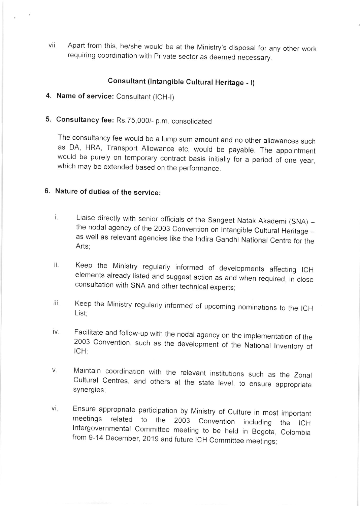vii. Apart from this, he/she would be at the Ministry's disposal for any other work requiring coordination with Private sector as deemed necessary.

# Consultant (lntangible Cultural Heritage - l)

- 4. Name of service: Consultant (lCH-l)
- 5. Consultancy fee: Rs.75,000/- p.m. consolidated

The consultancy fee would be a lump sum amount and no other allowances such as DA, HRA, Transport Allowance etc, would be payable. The appointment would be purely on temporary contract basis initialy for a period of one year, which may be extended based on the performance.

# 6. Nature of duties of the service:

- Liaise directly with senior officials of the Sangeet Natak Akademi  $(SNA)$  i. the nodal agency of the 2003 Convention on Intangible Cultural Heritage as well as relevant agencies like the Indira Gandhi National Centre for the Arts;
- ii. Keep the Ministry regularly informed of developments affecting ICH elements already listed and suggest action as and when required, in close consultation with SNA and other technical experts;
- iii. Keep the Ministry regularly informed of upcoming nominations to the ICH List;
- Facilitate and follow-up with the nodal agency on the implementation of the 2003 Convention, such as the development of the National Inventory of ICH;  $iv<sub>1</sub>$
- V. Maintain coordination with the relevant institutions such as the Zonal Cultural Centres, and others at the state level, to ensure appropriate synergies;
- Ensure appropriate participation by Ministry of Culture in most<br>meetings related to the 2003 Convention including lntergovernmental Committee meeting to be held in Bogota, from 9-14 December, 2019 and future ICH Committee meetings; important the ICH Colombia VI